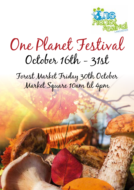

## One Planet Festival October 16th - 31st

Forest Market Friday 30th October Market Square 10am til 4pm